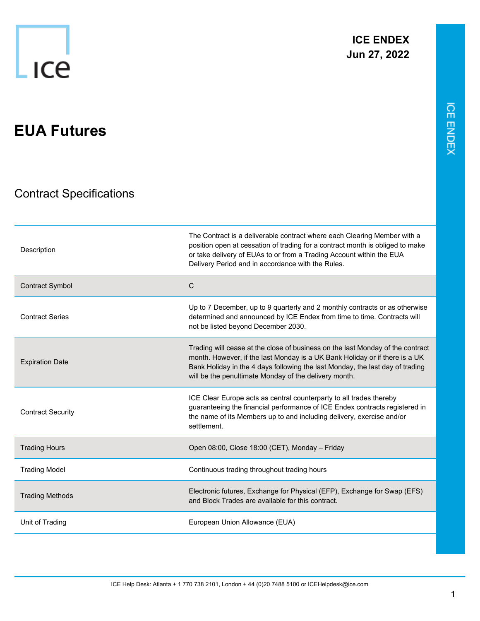1

## **EUA Futures**

## Contract Specifications

| Description              | The Contract is a deliverable contract where each Clearing Member with a<br>position open at cessation of trading for a contract month is obliged to make<br>or take delivery of EUAs to or from a Trading Account within the EUA<br>Delivery Period and in accordance with the Rules.                  |
|--------------------------|---------------------------------------------------------------------------------------------------------------------------------------------------------------------------------------------------------------------------------------------------------------------------------------------------------|
| <b>Contract Symbol</b>   | $\mathsf{C}$                                                                                                                                                                                                                                                                                            |
| <b>Contract Series</b>   | Up to 7 December, up to 9 quarterly and 2 monthly contracts or as otherwise<br>determined and announced by ICE Endex from time to time. Contracts will<br>not be listed beyond December 2030.                                                                                                           |
| <b>Expiration Date</b>   | Trading will cease at the close of business on the last Monday of the contract<br>month. However, if the last Monday is a UK Bank Holiday or if there is a UK<br>Bank Holiday in the 4 days following the last Monday, the last day of trading<br>will be the penultimate Monday of the delivery month. |
| <b>Contract Security</b> | ICE Clear Europe acts as central counterparty to all trades thereby<br>guaranteeing the financial performance of ICE Endex contracts registered in<br>the name of its Members up to and including delivery, exercise and/or<br>settlement.                                                              |
| <b>Trading Hours</b>     | Open 08:00, Close 18:00 (CET), Monday - Friday                                                                                                                                                                                                                                                          |
| <b>Trading Model</b>     | Continuous trading throughout trading hours                                                                                                                                                                                                                                                             |
| <b>Trading Methods</b>   | Electronic futures, Exchange for Physical (EFP), Exchange for Swap (EFS)<br>and Block Trades are available for this contract.                                                                                                                                                                           |
| Unit of Trading          | European Union Allowance (EUA)                                                                                                                                                                                                                                                                          |

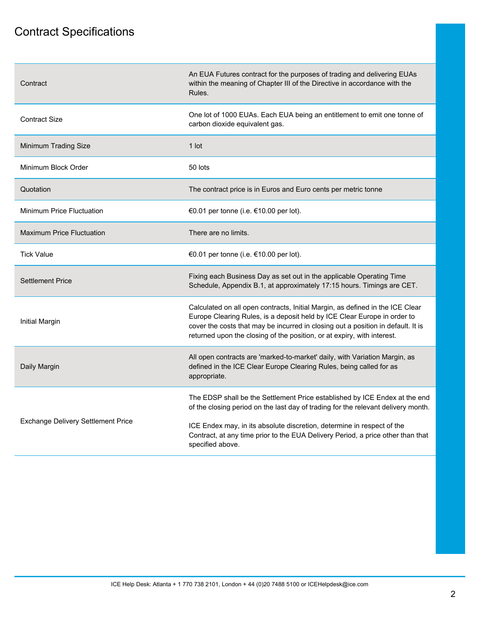## Contract Specifications

| Contract                           | An EUA Futures contract for the purposes of trading and delivering EUAs<br>within the meaning of Chapter III of the Directive in accordance with the<br>Rules.                                                                                                                                                           |
|------------------------------------|--------------------------------------------------------------------------------------------------------------------------------------------------------------------------------------------------------------------------------------------------------------------------------------------------------------------------|
| <b>Contract Size</b>               | One lot of 1000 EUAs. Each EUA being an entitlement to emit one tonne of<br>carbon dioxide equivalent gas.                                                                                                                                                                                                               |
| Minimum Trading Size               | $1$ lot                                                                                                                                                                                                                                                                                                                  |
| Minimum Block Order                | 50 lots                                                                                                                                                                                                                                                                                                                  |
| Quotation                          | The contract price is in Euros and Euro cents per metric tonne                                                                                                                                                                                                                                                           |
| Minimum Price Fluctuation          | €0.01 per tonne (i.e. €10.00 per lot).                                                                                                                                                                                                                                                                                   |
| <b>Maximum Price Fluctuation</b>   | There are no limits.                                                                                                                                                                                                                                                                                                     |
| <b>Tick Value</b>                  | €0.01 per tonne (i.e. €10.00 per lot).                                                                                                                                                                                                                                                                                   |
| <b>Settlement Price</b>            | Fixing each Business Day as set out in the applicable Operating Time<br>Schedule, Appendix B.1, at approximately 17:15 hours. Timings are CET.                                                                                                                                                                           |
| <b>Initial Margin</b>              | Calculated on all open contracts, Initial Margin, as defined in the ICE Clear<br>Europe Clearing Rules, is a deposit held by ICE Clear Europe in order to<br>cover the costs that may be incurred in closing out a position in default. It is<br>returned upon the closing of the position, or at expiry, with interest. |
| Daily Margin                       | All open contracts are 'marked-to-market' daily, with Variation Margin, as<br>defined in the ICE Clear Europe Clearing Rules, being called for as<br>appropriate.                                                                                                                                                        |
| Exchange Delivery Settlement Price | The EDSP shall be the Settlement Price established by ICE Endex at the end<br>of the closing period on the last day of trading for the relevant delivery month.                                                                                                                                                          |
|                                    | ICE Endex may, in its absolute discretion, determine in respect of the<br>Contract, at any time prior to the EUA Delivery Period, a price other than that<br>specified above.                                                                                                                                            |